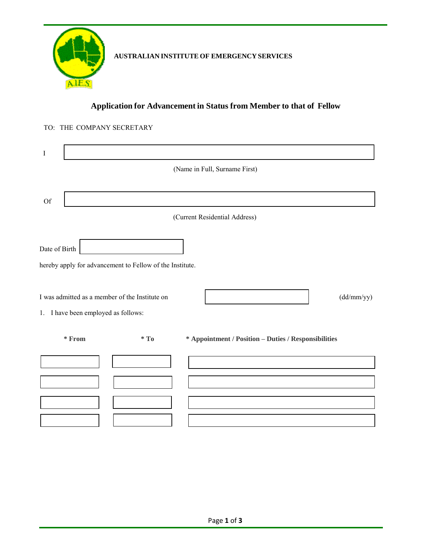

# **AUSTRALIAN INSTITUTE OF EMERGENCY SERVICES**

## **Application for Advancement in Status from Member to that of Fellow**

### TO: THE COMPANY SECRETARY

| $\mathbf I$                         |                                                          |                                                      |
|-------------------------------------|----------------------------------------------------------|------------------------------------------------------|
|                                     |                                                          | (Name in Full, Surname First)                        |
|                                     |                                                          |                                                      |
| <b>Of</b>                           |                                                          |                                                      |
|                                     |                                                          | (Current Residential Address)                        |
| Date of Birth                       |                                                          |                                                      |
|                                     | hereby apply for advancement to Fellow of the Institute. |                                                      |
| 1. I have been employed as follows: | I was admitted as a member of the Institute on           | (dd/mm/yy)                                           |
| $*$ From                            | $*$ To                                                   | * Appointment / Position - Duties / Responsibilities |
|                                     |                                                          |                                                      |
|                                     |                                                          |                                                      |
|                                     |                                                          |                                                      |
|                                     |                                                          |                                                      |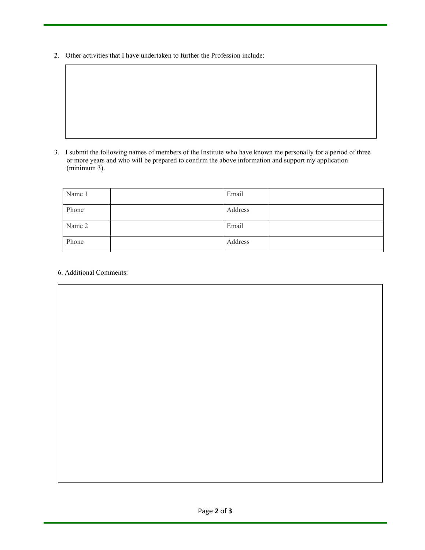2. Other activities that I have undertaken to further the Profession include:

3. I submit the following names of members of the Institute who have known me personally for a period of three or more years and who will be prepared to confirm the above information and support my application (minimum 3).

| Name 1 | Email   |  |
|--------|---------|--|
| Phone  | Address |  |
| Name 2 | Email   |  |
| Phone  | Address |  |

#### 6. Additional Comments: